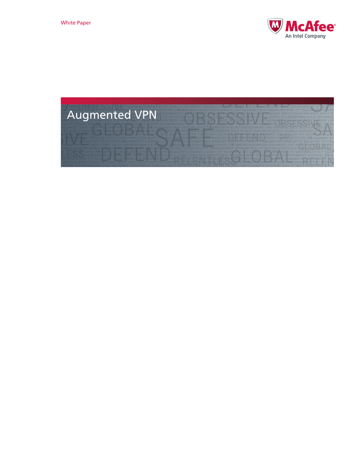

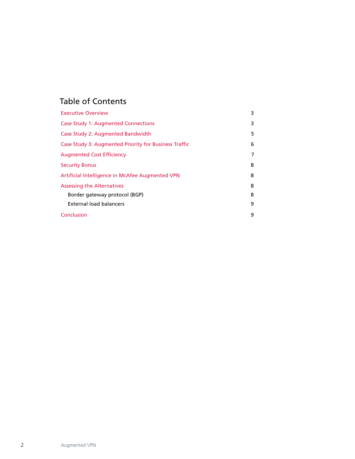# Table of Contents

| <b>Executive Overview</b>                             | 3 |
|-------------------------------------------------------|---|
| <b>Case Study 1: Augmented Connections</b>            | 3 |
| Case Study 2: Augmented Bandwidth                     | 5 |
| Case Study 3: Augmented Priority for Business Traffic | 6 |
| <b>Augmented Cost Efficiency</b>                      | 7 |
| <b>Security Bonus</b>                                 | 8 |
| Artificial Intelligence in McAfee Augmented VPN       | 8 |
| Assessing the Alternatives                            | 8 |
| Border gateway protocol (BGP)                         | 8 |
| External load balancers                               | 9 |
| Conclusion                                            | 9 |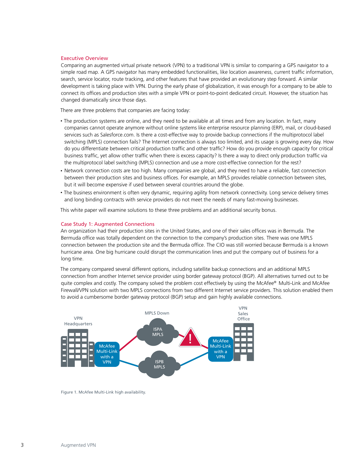## <span id="page-2-0"></span>Executive Overview

Comparing an augmented virtual private network (VPN) to a traditional VPN is similar to comparing a GPS navigator to a simple road map. A GPS navigator has many embedded functionalities, like location awareness, current traffic information, search, service locator, route tracking, and other features that have provided an evolutionary step forward. A similar development is taking place with VPN. During the early phase of globalization, it was enough for a company to be able to connect its offices and production sites with a simple VPN or point-to-point dedicated circuit. However, the situation has changed dramatically since those days.

There are three problems that companies are facing today:

- The production systems are online, and they need to be available at all times and from any location. In fact, many companies cannot operate anymore without online systems like enterprise resource planning (ERP), mail, or cloud-based services such as Salesforce.com. Is there a cost-effective way to provide backup connections if the multiprotocol label switching (MPLS) connection fails? The Internet connection is always too limited, and its usage is growing every day. How do you differentiate between critical production traffic and other traffic? How do you provide enough capacity for critical business traffic, yet allow other traffic when there is excess capacity? Is there a way to direct only production traffic via the multiprotocol label switching (MPLS) connection and use a more cost-effective connection for the rest?
- Network connection costs are too high. Many companies are global, and they need to have a reliable, fast connection between their production sites and business offices. For example, an MPLS provides reliable connection between sites, but it will become expensive if used between several countries around the globe.
- The business environment is often very dynamic, requiring agility from network connectivity. Long service delivery times and long binding contracts with service providers do not meet the needs of many fast-moving businesses.

This white paper will examine solutions to these three problems and an additional security bonus.

#### Case Study 1: Augmented Connections

An organization had their production sites in the United States, and one of their sales offices was in Bermuda. The Bermuda office was totally dependent on the connection to the company's production sites. There was one MPLS connection between the production site and the Bermuda office. The CIO was still worried because Bermuda is a known hurricane area. One big hurricane could disrupt the communication lines and put the company out of business for a long time.

The company compared several different options, including satellite backup connections and an additional MPLS connection from another Internet service provider using border gateway protocol (BGP). All alternatives turned out to be quite complex and costly. The company solved the problem cost effectively by using the McAfee® Multi-Link and McAfee Firewall/VPN solution with two MPLS connections from two different Internet service providers. This solution enabled them to avoid a cumbersome border gateway protocol (BGP) setup and gain highly available connections.



Figure 1. McAfee Multi-Link high availability.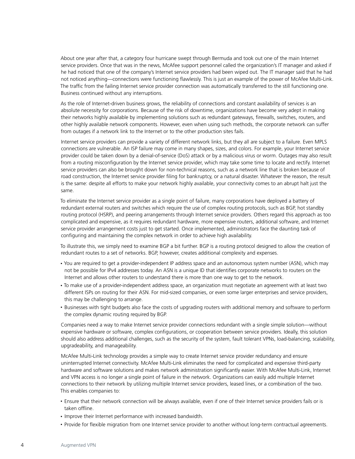About one year after that, a category four hurricane swept through Bermuda and took out one of the main Internet service providers. Once that was in the news, McAfee support personnel called the organization's IT manager and asked if he had noticed that one of the company's Internet service providers had been wiped out. The IT manager said that he had not noticed anything—connections were functioning flawlessly. This is just an example of the power of McAfee Multi-Link. The traffic from the failing Internet service provider connection was automatically transferred to the still functioning one. Business continued without any interruptions.

As the role of Internet-driven business grows, the reliability of connections and constant availability of services is an absolute necessity for corporations. Because of the risk of downtime, organizations have become very adept in making their networks highly available by implementing solutions such as redundant gateways, firewalls, switches, routers, and other highly available network components. However, even when using such methods, the corporate network can suffer from outages if a network link to the Internet or to the other production sites fails.

Internet service providers can provide a variety of different network links, but they all are subject to a failure. Even MPLS connections are vulnerable. An ISP failure may come in many shapes, sizes, and colors. For example, your Internet service provider could be taken down by a denial-of-service (DoS) attack or by a malicious virus or worm. Outages may also result from a routing misconfiguration by the Internet service provider, which may take some time to locate and rectify. Internet service providers can also be brought down for non-technical reasons, such as a network line that is broken because of road construction, the Internet service provider filing for bankruptcy, or a natural disaster. Whatever the reason, the result is the same: despite all efforts to make your network highly available, your connectivity comes to an abrupt halt just the same.

To eliminate the Internet service provider as a single point of failure, many corporations have deployed a battery of redundant external routers and switches which require the use of complex routing protocols, such as BGP, hot standby routing protocol (HSRP), and peering arrangements through Internet service providers. Others regard this approach as too complicated and expensive, as it requires redundant hardware, more expensive routers, additional software, and Internet service provider arrangement costs just to get started. Once implemented, administrators face the daunting task of configuring and maintaining the complex network in order to achieve high availability.

To illustrate this, we simply need to examine BGP a bit further. BGP is a routing protocol designed to allow the creation of redundant routes to a set of networks. BGP, however, creates additional complexity and expenses.

- You are required to get a provider-independent IP address space and an autonomous system number (ASN), which may not be possible for IPv4 addresses today. An ASN is a unique ID that identifies corporate networks to routers on the Internet and allows other routers to understand there is more than one way to get to the network.
- To make use of a provider-independent address space, an organization must negotiate an agreement with at least two different ISPs on routing for their ASN. For mid-sized companies, or even some larger enterprises and service providers, this may be challenging to arrange.
- Businesses with tight budgets also face the costs of upgrading routers with additional memory and software to perform the complex dynamic routing required by BGP.

Companies need a way to make Internet service provider connections redundant with a single simple solution—without expensive hardware or software, complex configurations, or cooperation between service providers. Ideally, this solution should also address additional challenges, such as the security of the system, fault tolerant VPNs, load-balancing, scalability, upgradeability, and manageability.

McAfee Multi-Link technology provides a simple way to create Internet service provider redundancy and ensure uninterrupted Internet connectivity. McAfee Multi-Link eliminates the need for complicated and expensive third-party hardware and software solutions and makes network administration significantly easier. With McAfee Multi-Link, Internet and VPN access is no longer a single point of failure in the network. Organizations can easily add multiple Internet connections to their network by utilizing multiple Internet service providers, leased lines, or a combination of the two. This enables companies to:

- Ensure that their network connection will be always available, even if one of their Internet service providers fails or is taken offline.
- Improve their Internet performance with increased bandwidth.
- Provide for flexible migration from one Internet service provider to another without long-term contractual agreements.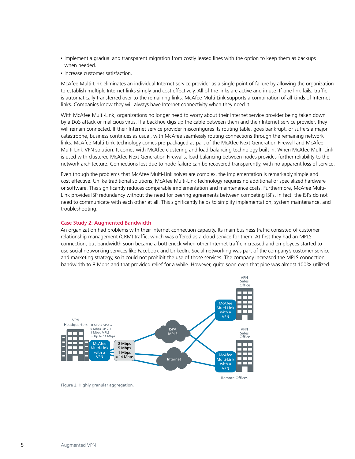- <span id="page-4-0"></span>• Implement a gradual and transparent migration from costly leased lines with the option to keep them as backups when needed.
- Increase customer satisfaction.

McAfee Multi-Link eliminates an individual Internet service provider as a single point of failure by allowing the organization to establish multiple Internet links simply and cost effectively. All of the links are active and in use. If one link fails, traffic is automatically transferred over to the remaining links. McAfee Multi-Link supports a combination of all kinds of Internet links. Companies know they will always have Internet connectivity when they need it.

With McAfee Multi-Link, organizations no longer need to worry about their Internet service provider being taken down by a DoS attack or malicious virus. If a backhoe digs up the cable between them and their Internet service provider, they will remain connected. If their Internet service provider misconfigures its routing table, goes bankrupt, or suffers a major catastrophe, business continues as usual, with McAfee seamlessly routing connections through the remaining network links. McAfee Multi-Link technology comes pre-packaged as part of the McAfee Next Generation Firewall and McAfee Multi-Link VPN solution. It comes with McAfee clustering and load-balancing technology built in. When McAfee Multi-Link is used with clustered McAfee Next Generation Firewalls, load balancing between nodes provides further reliability to the network architecture. Connections lost due to node failure can be recovered transparently, with no apparent loss of service.

Even though the problems that McAfee Multi-Link solves are complex, the implementation is remarkably simple and cost effective. Unlike traditional solutions, McAfee Multi-Link technology requires no additional or specialized hardware or software. This significantly reduces comparable implementation and maintenance costs. Furthermore, McAfee Multi-Link provides ISP redundancy without the need for peering agreements between competing ISPs. In fact, the ISPs do not need to communicate with each other at all. This significantly helps to simplify implementation, system maintenance, and troubleshooting.

# Case Study 2: Augmented Bandwidth

An organization had problems with their Internet connection capacity. Its main business traffic consisted of customer relationship management (CRM) traffic, which was offered as a cloud service for them. At first they had an MPLS connection, but bandwidth soon became a bottleneck when other Internet traffic increased and employees started to use social networking services like Facebook and LinkedIn. Social networking was part of the company's customer service and marketing strategy, so it could not prohibit the use of those services. The company increased the MPLS connection bandwidth to 8 Mbps and that provided relief for a while. However, quite soon even that pipe was almost 100% utilized.



Figure 2. Highly granular aggregation.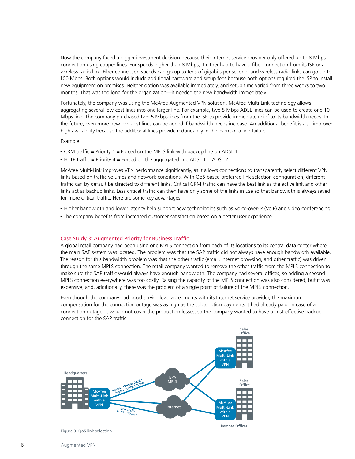<span id="page-5-0"></span>Now the company faced a bigger investment decision because their Internet service provider only offered up to 8 Mbps connection using copper lines. For speeds higher than 8 Mbps, it either had to have a fiber connection from its ISP or a wireless radio link. Fiber connection speeds can go up to tens of gigabits per second, and wireless radio links can go up to 100 Mbps. Both options would include additional hardware and setup fees because both options required the ISP to install new equipment on premises. Neither option was available immediately, and setup time varied from three weeks to two months. That was too long for the organization—it needed the new bandwidth immediately.

Fortunately, the company was using the McAfee Augmented VPN solution. McAfee Multi-Link technology allows aggregating several low-cost lines into one larger line. For example, two 5 Mbps ADSL lines can be used to create one 10 Mbps line. The company purchased two 5 Mbps lines from the ISP to provide immediate relief to its bandwidth needs. In the future, even more new low-cost lines can be added if bandwidth needs increase. An additional benefit is also improved high availability because the additional lines provide redundancy in the event of a line failure.

#### Example:

- CRM traffic = Priority 1 = Forced on the MPLS link with backup line on ADSL 1.
- HTTP traffic = Priority  $4 =$  Forced on the aggregated line ADSL 1 + ADSL 2.

McAfee Multi-Link improves VPN performance significantly, as it allows connections to transparently select different VPN links based on traffic volumes and network conditions. With QoS-based preferred link selection configuration, different traffic can by default be directed to different links. Critical CRM traffic can have the best link as the active link and other links act as backup links. Less critical traffic can then have only some of the links in use so that bandwidth is always saved for more critical traffic. Here are some key advantages:

- Higher bandwidth and lower latency help support new technologies such as Voice-over-IP (VoIP) and video conferencing.
- The company benefits from increased customer satisfaction based on a better user experience.

## Case Study 3: Augmented Priority for Business Traffic

A global retail company had been using one MPLS connection from each of its locations to its central data center where the main SAP system was located. The problem was that the SAP traffic did not always have enough bandwidth available. The reason for this bandwidth problem was that the other traffic (email, Internet browsing, and other traffic) was driven through the same MPLS connection. The retail company wanted to remove the other traffic from the MPLS connection to make sure the SAP traffic would always have enough bandwidth. The company had several offices, so adding a second MPLS connection everywhere was too costly. Raising the capacity of the MPLS connection was also considered, but it was expensive, and, additionally, there was the problem of a single point of failure of the MPLS connection.

Even though the company had good service level agreements with its Internet service provider, the maximum compensation for the connection outage was as high as the subscription payments it had already paid. In case of a connection outage, it would not cover the production losses, so the company wanted to have a cost-effective backup connection for the SAP traffic.



Figure 3. QoS link selection.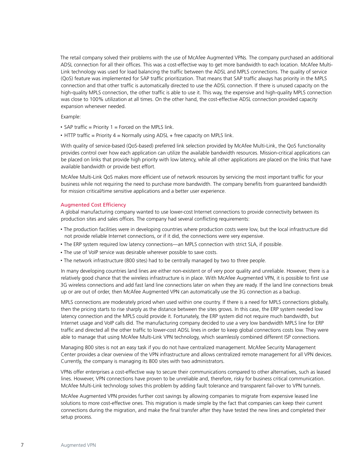<span id="page-6-0"></span>The retail company solved their problems with the use of McAfee Augmented VPNs. The company purchased an additional ADSL connection for all their offices. This was a cost-effective way to get more bandwidth to each location. McAfee Multi-Link technology was used for load balancing the traffic between the ADSL and MPLS connections. The quality of service (QoS) feature was implemented for SAP traffic prioritization. That means that SAP traffic always has priority in the MPLS connection and that other traffic is automatically directed to use the ADSL connection. If there is unused capacity on the high-quality MPLS connection, the other traffic is able to use it. This way, the expensive and high-quality MPLS connection was close to 100% utilization at all times. On the other hand, the cost-effective ADSL connection provided capacity expansion whenever needed.

Example:

- SAP traffic = Priority  $1 =$  Forced on the MPLS link.
- HTTP traffic = Priority  $4 =$  Normally using ADSL + free capacity on MPLS link.

With quality of service-based (QoS-based) preferred link selection provided by McAfee Multi-Link, the QoS functionality provides control over how each application can utilize the available bandwidth resources. Mission-critical applications can be placed on links that provide high priority with low latency, while all other applications are placed on the links that have available bandwidth or provide best effort.

McAfee Multi-Link QoS makes more efficient use of network resources by servicing the most important traffic for your business while not requiring the need to purchase more bandwidth. The company benefits from guaranteed bandwidth for mission critical/time sensitive applications and a better user experience.

### Augmented Cost Efficiency

A global manufacturing company wanted to use lower-cost Internet connections to provide connectivity between its production sites and sales offices. The company had several conflicting requirements:

- The production facilities were in developing countries where production costs were low, but the local infrastructure did not provide reliable Internet connections, or if it did, the connections were very expensive.
- The ERP system required low latency connections—an MPLS connection with strict SLA, if possible.
- The use of VoIP service was desirable wherever possible to save costs.
- The network infrastructure (800 sites) had to be centrally managed by two to three people.

In many developing countries land lines are either non-existent or of very poor quality and unreliable. However, there is a relatively good chance that the wireless infrastructure is in place. With McAfee Augmented VPN, it is possible to first use 3G wireless connections and add fast land line connections later on when they are ready. If the land line connections break up or are out of order, then McAfee Augmented VPN can automatically use the 3G connection as a backup.

MPLS connections are moderately priced when used within one country. If there is a need for MPLS connections globally, then the pricing starts to rise sharply as the distance between the sites grows. In this case, the ERP system needed low latency connection and the MPLS could provide it. Fortunately, the ERP system did not require much bandwidth, but Internet usage and VoIP calls did. The manufacturing company decided to use a very low bandwidth MPLS line for ERP traffic and directed all the other traffic to lower-cost ADSL lines in order to keep global connections costs low. They were able to manage that using McAfee Multi-Link VPN technology, which seamlessly combined different ISP connections.

Managing 800 sites is not an easy task if you do not have centralized management. McAfee Security Management Center provides a clear overview of the VPN infrastructure and allows centralized remote management for all VPN devices. Currently, the company is managing its 800 sites with two administrators.

VPNs offer enterprises a cost-effective way to secure their communications compared to other alternatives, such as leased lines. However, VPN connections have proven to be unreliable and, therefore, risky for business critical communication. McAfee Multi-Link technology solves this problem by adding fault tolerance and transparent fail-over to VPN tunnels.

McAfee Augmented VPN provides further cost savings by allowing companies to migrate from expensive leased line solutions to more cost-effective ones. This migration is made simple by the fact that companies can keep their current connections during the migration, and make the final transfer after they have tested the new lines and completed their setup process.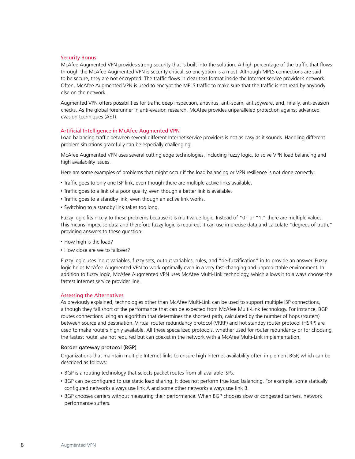#### <span id="page-7-0"></span>Security Bonus

McAfee Augmented VPN provides strong security that is built into the solution. A high percentage of the traffic that flows through the McAfee Augmented VPN is security critical, so encryption is a must. Although MPLS connections are said to be secure, they are not encrypted. The traffic flows in clear text format inside the Internet service provider's network. Often, McAfee Augmented VPN is used to encrypt the MPLS traffic to make sure that the traffic is not read by anybody else on the network.

Augmented VPN offers possibilities for traffic deep inspection, antivirus, anti-spam, antispyware, and, finally, anti-evasion checks. As the global forerunner in anti-evasion research, McAfee provides unparalleled protection against advanced evasion techniques (AET).

## Artificial Intelligence in McAfee Augmented VPN

Load balancing traffic between several different Internet service providers is not as easy as it sounds. Handling different problem situations gracefully can be especially challenging.

McAfee Augmented VPN uses several cutting edge technologies, including fuzzy logic, to solve VPN load balancing and high availability issues.

Here are some examples of problems that might occur if the load balancing or VPN resilience is not done correctly:

- Traffic goes to only one ISP link, even though there are multiple active links available.
- Traffic goes to a link of a poor quality, even though a better link is available.
- Traffic goes to a standby link, even though an active link works.
- Switching to a standby link takes too long.

Fuzzy logic fits nicely to these problems because it is multivalue logic. Instead of "0" or "1," there are multiple values. This means imprecise data and therefore fuzzy logic is required; it can use imprecise data and calculate "degrees of truth," providing answers to these question:

- How high is the load?
- How close are we to failover?

Fuzzy logic uses input variables, fuzzy sets, output variables, rules, and "de-fuzzification" in to provide an answer. Fuzzy logic helps McAfee Augmented VPN to work optimally even in a very fast-changing and unpredictable environment. In addition to fuzzy logic, McAfee Augmented VPN uses McAfee Multi-Link technology, which allows it to always choose the fastest Internet service provider line.

## Assessing the Alternatives

As previously explained, technologies other than McAfee Multi-Link can be used to support multiple ISP connections, although they fall short of the performance that can be expected from McAfee Multi-Link technology. For instance, BGP routes connections using an algorithm that determines the shortest path, calculated by the number of hops (routers) between source and destination. Virtual router redundancy protocol (VRRP) and hot standby router protocol (HSRP) are used to make routers highly available. All these specialized protocols, whether used for router redundancy or for choosing the fastest route, are not required but can coexist in the network with a McAfee Multi-Link implementation.

# Border gateway protocol (BGP)

Organizations that maintain multiple Internet links to ensure high Internet availability often implement BGP, which can be described as follows:

- BGP is a routing technology that selects packet routes from all available ISPs.
- BGP can be configured to use static load sharing. It does not perform true load balancing. For example, some statically configured networks always use link A and some other networks always use link B.
- BGP chooses carriers without measuring their performance. When BGP chooses slow or congested carriers, network performance suffers.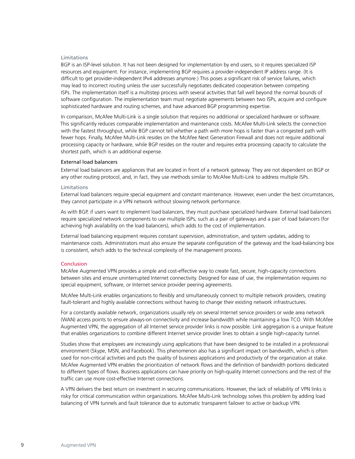## <span id="page-8-0"></span>Limitations

BGP is an ISP-level solution. It has not been designed for implementation by end users, so it requires specialized ISP resources and equipment. For instance, implementing BGP requires a provider-independent IP address range. (It is difficult to get provider-independent IPv4 addresses anymore.) This poses a significant risk of service failures, which may lead to incorrect routing unless the user successfully negotiates dedicated cooperation between competing ISPs. The implementation itself is a multistep process with several activities that fall well beyond the normal bounds of software configuration. The implementation team must negotiate agreements between two ISPs, acquire and configure sophisticated hardware and routing schemes, and have advanced BGP programming expertise.

In comparison, McAfee Multi-Link is a single solution that requires no additional or specialized hardware or software. This significantly reduces comparable implementation and maintenance costs. McAfee Multi-Link selects the connection with the fastest throughput, while BGP cannot tell whether a path with more hops is faster than a congested path with fewer hops. Finally, McAfee Multi-Link resides on the McAfee Next Generation Firewall and does not require additional processing capacity or hardware, while BGP resides on the router and requires extra processing capacity to calculate the shortest path, which is an additional expense.

## External load balancers

External load balancers are appliances that are located in front of a network gateway. They are not dependent on BGP or any other routing protocol, and, in fact, they use methods similar to McAfee Multi-Link to address multiple ISPs.

#### Limitations

External load balancers require special equipment and constant maintenance. However, even under the best circumstances, they cannot participate in a VPN network without slowing network performance.

As with BGP, if users want to implement load balancers, they must purchase specialized hardware. External load balancers require specialized network components to use multiple ISPs, such as a pair of gateways and a pair of load balancers (for achieving high availability on the load balancers), which adds to the cost of implementation.

External load balancing equipment requires constant supervision, administration, and system updates, adding to maintenance costs. Administrators must also ensure the separate configuration of the gateway and the load-balancing box is consistent, which adds to the technical complexity of the management process.

# Conclusion

McAfee Augmented VPN provides a simple and cost-effective way to create fast, secure, high-capacity connections between sites and ensure uninterrupted Internet connectivity. Designed for ease of use, the implementation requires no special equipment, software, or Internet service provider peering agreements.

McAfee Multi-Link enables organizations to flexibly and simultaneously connect to multiple network providers, creating fault-tolerant and highly available connections without having to change their existing network infrastructures.

For a constantly available network, organizations usually rely on several Internet service providers or wide area network (WAN) access points to ensure always-on connectivity and increase bandwidth while maintaining a low TCO. With McAfee Augmented VPN, the aggregation of all Internet service provider links is now possible. Link aggregation is a unique feature that enables organizations to combine different Internet service provider lines to obtain a single high-capacity tunnel.

Studies show that employees are increasingly using applications that have been designed to be installed in a professional environment (Skype, MSN, and Facebook). This phenomenon also has a significant impact on bandwidth, which is often used for non-critical activities and puts the quality of business applications and productivity of the organization at stake. McAfee Augmented VPN enables the prioritization of network flows and the definition of bandwidth portions dedicated to different types of flows. Business applications can have priority on high-quality Internet connections and the rest of the traffic can use more cost-effective Internet connections.

A VPN delivers the best return on investment in securing communications. However, the lack of reliability of VPN links is risky for critical communication within organizations. McAfee Multi-Link technology solves this problem by adding load balancing of VPN tunnels and fault tolerance due to automatic transparent failover to active or backup VPN.